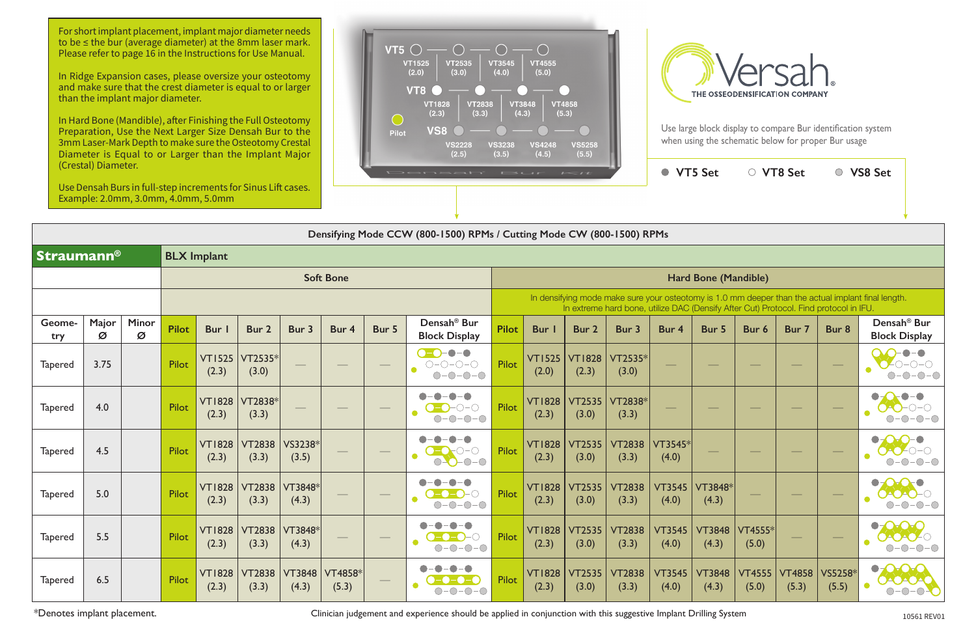|                   |            |                   |              |                        |                        |                        |                              |       | Densifying Mode CCW (800-1500) RPMs / Cutting Mode CW (800-1500) RPMs             |              |                        |                        |                                                                                       |                        |                          |                        |                        |                                 |                                                                                                    |
|-------------------|------------|-------------------|--------------|------------------------|------------------------|------------------------|------------------------------|-------|-----------------------------------------------------------------------------------|--------------|------------------------|------------------------|---------------------------------------------------------------------------------------|------------------------|--------------------------|------------------------|------------------------|---------------------------------|----------------------------------------------------------------------------------------------------|
| <b>Straumann®</b> |            |                   |              | <b>BLX Implant</b>     |                        |                        |                              |       |                                                                                   |              |                        |                        |                                                                                       |                        |                          |                        |                        |                                 |                                                                                                    |
|                   |            |                   |              |                        |                        |                        | <b>Soft Bone</b>             |       |                                                                                   |              |                        |                        |                                                                                       |                        | Hard Bone (Mandible)     |                        |                        |                                 |                                                                                                    |
|                   |            |                   |              |                        |                        |                        |                              |       |                                                                                   |              |                        |                        | In extreme hard bone, utilize DAC (Densify After Cut) Protocol. Find protocol in IFU. |                        |                          |                        |                        |                                 | In densifying mode make sure your osteotomy is 1.0 mm deeper than the actual implant final length. |
| Geome-<br>try     | Major<br>Ø | <b>Minor</b><br>Ø | <b>Pilot</b> | <b>Bur</b>             | Bur 2                  | Bur 3                  | Bur 4                        | Bur 5 | Densah <sup>®</sup> Bur<br><b>Block Display</b>                                   | <b>Pilot</b> | Bur                    | Bur 2                  | Bur 3                                                                                 | Bur 4                  | Bur 5                    | Bur 6                  | Bur 7                  | Bur 8                           | Densah <sup>®</sup> Bur<br><b>Block Display</b>                                                    |
| <b>Tapered</b>    | 3.75       |                   | <b>Pilot</b> | VT1525<br>(2.3)        | $VT2535*$<br>(3.0)     |                        |                              |       | $\bullet$ - $\bullet$ - $\bullet$<br>$O-O-O-O-O$<br>$-0-0-0$<br>$\bigcirc$        | Pilot        | <b>VT1525</b><br>(2.0) | <b>VT1828</b><br>(2.3) | VT2535*<br>(3.0)                                                                      |                        | $\overline{\phantom{a}}$ |                        |                        |                                 | $-\bullet-\bullet$                                                                                 |
| <b>Tapered</b>    | 4.0        |                   | Pilot        | <b>VT1828</b><br>(2.3) | VT2838*<br>(3.3)       |                        |                              |       | $\bullet$<br>$ \bigcirc$ $ \bigcirc$                                              | Pilot        | <b>VT1828</b><br>(2.3) | <b>VT2535</b><br>(3.0) | VT2838*<br>(3.3)                                                                      |                        |                          |                        |                        |                                 |                                                                                                    |
| <b>Tapered</b>    | 4.5        |                   | <b>Pilot</b> | <b>VT1828</b><br>(2.3) | <b>VT2838</b><br>(3.3) | VS3238*<br>(3.5)       |                              |       | $O-O-O-O$                                                                         | Pilot        | <b>VT1828</b><br>(2.3) | <b>VT2535</b><br>(3.0) | <b>VT2838</b><br>(3.3)                                                                | VT3545*<br>(4.0)       |                          |                        |                        |                                 |                                                                                                    |
| <b>Tapered</b>    | 5.0        |                   | Pilot        | <b>VT1828</b><br>(2.3) | <b>VT2838</b><br>(3.3) | VT3848*<br>(4.3)       |                              |       | $\bullet$ -<br>$\blacksquare$<br>O<br>$O-O-O-O$                                   | Pilot        | <b>VT1828</b><br>(2.3) | <b>VT2535</b><br>(3.0) | <b>VT2838</b><br>(3.3)                                                                | <b>VT3545</b><br>(4.0) | VT3848*<br>(4.3)         |                        |                        |                                 |                                                                                                    |
| <b>Tapered</b>    | 5.5        |                   | Pilot        | <b>VT1828</b><br>(2.3) | <b>VT2838</b><br>(3.3) | VT3848*<br>(4.3)       | $\frac{1}{2}$                |       | $\bullet$ – $\bullet$<br>$\bullet$ - $\bullet$ - $\bullet$ - $\circ$<br>$O-O-O-O$ | Pilot        | <b>VT1828</b><br>(2.3) | <b>VT2535</b><br>(3.0) | <b>VT2838</b><br>(3.3)                                                                | <b>VT3545</b><br>(4.0) | <b>VT3848</b><br>(4.3)   | VT4555*<br>(5.0)       |                        | $\overbrace{\qquad \qquad }^{}$ | $\bullet$                                                                                          |
| <b>Tapered</b>    | 6.5        |                   | Pilot        | <b>VT1828</b><br>(2.3) | <b>VT2838</b><br>(3.3) | <b>VT3848</b><br>(4.3) | $\mathsf{VT}4858^*$<br>(5.3) |       |                                                                                   | Pilot        | <b>VT1828</b><br>(2.3) | <b>VT2535</b><br>(3.0) | <b>VT2838</b><br>(3.3)                                                                | <b>VT3545</b><br>(4.0) | <b>VT3848</b><br>(4.3)   | <b>VT4555</b><br>(5.0) | <b>VT4858</b><br>(5.3) | VS5258*<br>(5.5)                | $\bullet$<br>DAOAOAO<br>$-O-$<br>$\bigcirc$                                                        |

\*Denotes implant placement. **Exercice 2018** Clinician judgement and experience should be applied in conjunction with this suggestive Implant Drilling System 10561 REV01

For short implant placement, implant major diameter needs to be ≤ the bur (average diameter) at the 8mm laser mark. Please refer to page 16 in the Instructions for Use Manual.

|                       | $\sim$                 |                                                                                       |                        | <b>VT5 Set</b>         |                        | <b>VT8 Set</b>         |                  | <b>VS8 Set</b>                                                                                     |  |
|-----------------------|------------------------|---------------------------------------------------------------------------------------|------------------------|------------------------|------------------------|------------------------|------------------|----------------------------------------------------------------------------------------------------|--|
|                       |                        |                                                                                       |                        |                        |                        |                        |                  |                                                                                                    |  |
|                       |                        | g Mode CW (800-1500) RPMs                                                             |                        |                        |                        |                        |                  |                                                                                                    |  |
|                       |                        |                                                                                       |                        |                        |                        |                        |                  |                                                                                                    |  |
|                       |                        |                                                                                       |                        | Hard Bone (Mandible)   |                        |                        |                  |                                                                                                    |  |
|                       |                        | In extreme hard bone, utilize DAC (Densify After Cut) Protocol. Find protocol in IFU. |                        |                        |                        |                        |                  | In densifying mode make sure your osteotomy is 1.0 mm deeper than the actual implant final length. |  |
| <b>Bur</b> I          | Bur 2                  | Bur 3                                                                                 | Bur 4                  | Bur 5                  | Bur 6                  | Bur 7                  | Bur <sub>8</sub> | Densah <sup>®</sup> Bur<br><b>Block Display</b>                                                    |  |
| T1525<br>(2.0)        | <b>VT1828</b><br>(2.3) | VT2535*<br>(3.0)                                                                      |                        |                        |                        |                        |                  |                                                                                                    |  |
| <b>T1828</b><br>(2.3) | <b>VT2535</b><br>(3.0) | VT2838*<br>(3.3)                                                                      |                        |                        |                        |                        |                  |                                                                                                    |  |
| <b>T1828</b><br>(2.3) | <b>VT2535</b><br>(3.0) | <b>VT2838</b><br>(3.3)                                                                | VT3545*<br>(4.0)       |                        |                        |                        |                  |                                                                                                    |  |
| T1828<br>(2.3)        | <b>VT2535</b><br>(3.0) | <b>VT2838</b><br>(3.3)                                                                | <b>VT3545</b><br>(4.0) | VT3848*<br>(4.3)       |                        |                        |                  |                                                                                                    |  |
| T1828<br>(2.3)        | <b>VT2535</b><br>(3.0) | <b>VT2838</b><br>(3.3)                                                                | <b>VT3545</b><br>(4.0) | <b>VT3848</b><br>(4.3) | VT4555*<br>(5.0)       |                        |                  |                                                                                                    |  |
| T1828<br>(2.3)        | <b>VT2535</b><br>(3.0) | <b>VT2838</b><br>(3.3)                                                                | <b>VT3545</b><br>(4.0) | <b>VT3848</b><br>(4.3) | <b>VT4555</b><br>(5.0) | <b>VT4858</b><br>(5.3) | VS5258*<br>(5.5) |                                                                                                    |  |

In Ridge Expansion cases, please oversize your osteotomy and make sure that the crest diameter is equal to or larger than the implant major diameter.

In Hard Bone (Mandible), after Finishing the Full Osteotomy Preparation, Use the Next Larger Size Densah Bur to the 3mm Laser-Mark Depth to make sure the Osteotomy Crestal Diameter is Equal to or Larger than the Implant Major (Crestal) Diameter.

Use Densah Burs in full-step increments for Sinus Lift cases. Example: 2.0mm, 3.0mm, 4.0mm, 5.0mm



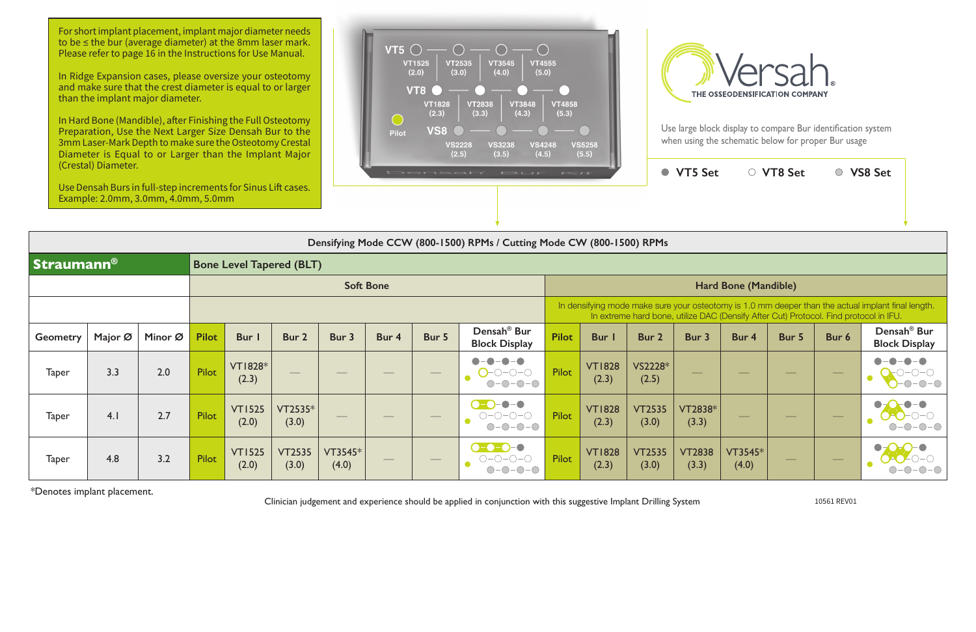In Hard Bone (Mandible), after Finishing the Full Osteotomy Preparation, Use the Next Larger Size Densah Bur to the 3mm Laser-Mark Depth to make sure the Osteotomy Crestal Diameter is Equal to or Larger than the Implant Major





|                   | (Crestal) Diameter. | Use Densah Burs in full-step increments for Sinus Lift cases.<br>Example: 2.0mm, 3.0mm, 4.0mm, 5.0mm |              |                                 |                        |                  |                  |                   | Densah' Bur                                                                             | $L = L$      |                        |                        | ● VT5 Set              |                                                                                       | ○ VT8 Set                |       | ○ VS8 Set                                                                                          |
|-------------------|---------------------|------------------------------------------------------------------------------------------------------|--------------|---------------------------------|------------------------|------------------|------------------|-------------------|-----------------------------------------------------------------------------------------|--------------|------------------------|------------------------|------------------------|---------------------------------------------------------------------------------------|--------------------------|-------|----------------------------------------------------------------------------------------------------|
|                   |                     |                                                                                                      |              |                                 |                        |                  |                  |                   |                                                                                         |              |                        |                        |                        |                                                                                       |                          |       |                                                                                                    |
|                   |                     |                                                                                                      |              |                                 |                        |                  |                  |                   | Densifying Mode CCW (800-1500) RPMs / Cutting Mode CW (800-1500) RPMs                   |              |                        |                        |                        |                                                                                       |                          |       |                                                                                                    |
| <b>Straumann®</b> |                     |                                                                                                      |              | <b>Bone Level Tapered (BLT)</b> |                        |                  |                  |                   |                                                                                         |              |                        |                        |                        |                                                                                       |                          |       |                                                                                                    |
|                   |                     |                                                                                                      |              |                                 |                        |                  | <b>Soft Bone</b> |                   |                                                                                         |              |                        |                        |                        | Hard Bone (Mandible)                                                                  |                          |       |                                                                                                    |
|                   |                     |                                                                                                      |              |                                 |                        |                  |                  |                   |                                                                                         |              |                        |                        |                        | In extreme hard bone, utilize DAC (Densify After Cut) Protocol. Find protocol in IFU. |                          |       | In densifying mode make sure your osteotomy is 1.0 mm deeper than the actual implant final length. |
| <b>Geometry</b>   | Major Ø             | Minor Ø                                                                                              | <b>Pilot</b> | Bur I                           | Bur 2                  | Bur 3            | Bur 4            | Bur 5             | Densah <sup>®</sup> Bur<br><b>Block Display</b>                                         | <b>Pilot</b> | <b>Bur</b> I           | Bur 2                  | Bur 3                  | Bur 4                                                                                 | Bur 5                    | Bur 6 | Densah <sup>®</sup> Bur<br><b>Block Display</b>                                                    |
| <b>Taper</b>      | 3.3                 | 2.0                                                                                                  | Pilot        | <b>VT1828*</b><br>(2.3)         |                        |                  |                  |                   | $O$ -0-0-0<br>$O-O-O-O$                                                                 | Pilot        | <b>VT1828</b><br>(2.3) | VS2228*<br>(2.5)       | --                     |                                                                                       |                          |       |                                                                                                    |
| <b>Taper</b>      | 4.1                 | 2.7                                                                                                  | Pilot        | <b>VT1525</b><br>(2.0)          | VT2535*<br>(3.0)       |                  |                  |                   | $\bullet - \bullet$<br>$O-O-O-O-$<br>$\bullet$<br>$ \bigcirc$ $ \bigcirc$<br>$\bigcirc$ | Pilot        | <b>VT1828</b><br>(2.3) | <b>VT2535</b><br>(3.0) | VT2838*<br>(3.3)       |                                                                                       |                          |       |                                                                                                    |
| <b>Taper</b>      | 4.8                 | 3.2                                                                                                  | Pilot        | <b>VT1525</b><br>(2.0)          | <b>VT2535</b><br>(3.0) | VT3545*<br>(4.0) |                  | $\hspace{0.05cm}$ | <b>0-0-0-0</b><br>$() - () - () - ()$<br>$\bullet$<br>$-O$ - $O$<br>$(\ )$              | Pilot        | <b>VT1828</b><br>(2.3) | <b>VT2535</b><br>(3.0) | <b>VT2838</b><br>(3.3) | VT3545*<br>(4.0)                                                                      | $\overline{\phantom{a}}$ |       |                                                                                                    |

\*Denotes implant placement.

Clinician judgement and experience should be applied in conjunction with this suggestive Implant Drilling System 10561 REV01

For short implant placement, implant major diameter needs to be ≤ the bur (average diameter) at the 8mm laser mark. Please refer to page 16 in the Instructions for Use Manual.

In Ridge Expansion cases, please oversize your osteotomy and make sure that the crest diameter is equal to or larger than the implant major diameter.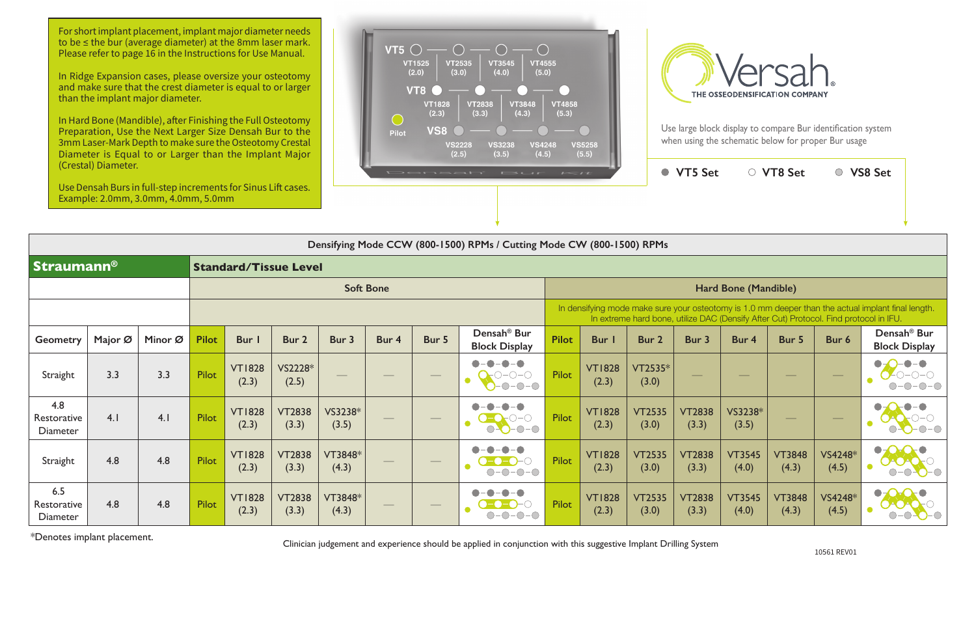

|                                       |         |         |              |                        |                              |                  |                          |                                | Densifying Mode CCW (800-1500) RPMs / Cutting Mode CW (800-1500) RPMs |              |                        |                                                                                       |                        |                        |                        |                  |                                                                                                    |
|---------------------------------------|---------|---------|--------------|------------------------|------------------------------|------------------|--------------------------|--------------------------------|-----------------------------------------------------------------------|--------------|------------------------|---------------------------------------------------------------------------------------|------------------------|------------------------|------------------------|------------------|----------------------------------------------------------------------------------------------------|
| <b>Straumann®</b>                     |         |         |              |                        | <b>Standard/Tissue Level</b> |                  |                          |                                |                                                                       |              |                        |                                                                                       |                        |                        |                        |                  |                                                                                                    |
|                                       |         |         |              |                        |                              |                  | <b>Soft Bone</b>         |                                |                                                                       |              |                        |                                                                                       |                        | Hard Bone (Mandible)   |                        |                  |                                                                                                    |
|                                       |         |         |              |                        |                              |                  |                          |                                |                                                                       |              |                        | In extreme hard bone, utilize DAC (Densify After Cut) Protocol. Find protocol in IFU. |                        |                        |                        |                  | In densifying mode make sure your osteotomy is 1.0 mm deeper than the actual implant final length. |
| <b>Geometry</b>                       | Major Ø | Minor Ø | <b>Pilot</b> | Bur I                  | Bur 2                        | Bur 3            | Bur 4                    | Bur 5                          | Densah <sup>®</sup> Bur<br><b>Block Display</b>                       | <b>Pilot</b> | <b>Bur</b>             | Bur 2                                                                                 | Bur 3                  | Bur 4                  | Bur 5                  | Bur 6            | Densah <sup>®</sup> Bur<br><b>Block Display</b>                                                    |
| Straight                              | 3.3     | 3.3     | <b>Pilot</b> | <b>VT1828</b><br>(2.3) | VS2228*<br>(2.5)             |                  |                          | $\hspace{0.05cm}$              | $\bullet$<br>$-0$ -O $-$ O<br>$O-O-O$                                 | Pilot        | <b>VT1828</b><br>(2.3) | VT2535*<br>(3.0)                                                                      |                        |                        |                        |                  |                                                                                                    |
| 4.8<br>Restorative<br><b>Diameter</b> | 4.1     | 4.1     | <b>Pilot</b> | <b>VT1828</b><br>(2.3) | <b>VT2838</b><br>(3.3)       | VS3238*<br>(3.5) |                          | $\overline{\phantom{a}}$       | $\blacksquare$<br>O<br>$O-O-O-O$                                      | <b>Pilot</b> | <b>VT1828</b><br>(2.3) | <b>VT2535</b><br>(3.0)                                                                | <b>VT2838</b><br>(3.3) | VS3238*<br>(3.5)       |                        |                  |                                                                                                    |
| Straight                              | 4.8     | 4.8     | <b>Pilot</b> | <b>VT1828</b><br>(2.3) | <b>VT2838</b><br>(3.3)       | VT3848*<br>(4.3) | $\overline{\phantom{a}}$ | $\hspace{0.1cm} -$             | $ \bigcirc$ $ \bigcirc$<br>$ \bigcirc$<br>$\bigcirc$                  | <b>Pilot</b> | <b>VT1828</b><br>(2.3) | <b>VT2535</b><br>(3.0)                                                                | <b>VT2838</b><br>(3.3) | <b>VT3545</b><br>(4.0) | <b>VT3848</b><br>(4.3) | VS4248*<br>(4.5) | $\bullet$                                                                                          |
| 6.5<br>Restorative<br><b>Diameter</b> | 4.8     | 4.8     | <b>Pilot</b> | <b>VT1828</b><br>(2.3) | <b>VT2838</b><br>(3.3)       | VT3848*<br>(4.3) |                          | $\overbrace{\hspace{27mm}}^{}$ | $\bullet$<br>$\neg$                                                   | Pilot        | <b>VT1828</b><br>(2.3) | <b>VT2535</b><br>(3.0)                                                                | <b>VT2838</b><br>(3.3) | <b>VT3545</b><br>(4.0) | <b>VT3848</b><br>(4.3) | VS4248*<br>(4.5) | $\bullet$                                                                                          |

For short implant placement, implant major diameter needs to be ≤ the bur (average diameter) at the 8mm laser mark. Please refer to page 16 in the Instructions for Use Manual.

\*Denotes implant placement.

Clinician judgement and experience should be applied in conjunction with this suggestive Implant Drilling System

In Ridge Expansion cases, please oversize your osteotomy and make sure that the crest diameter is equal to or larger than the implant major diameter.

In Hard Bone (Mandible), after Finishing the Full Osteotomy Preparation, Use the Next Larger Size Densah Bur to the 3mm Laser-Mark Depth to make sure the Osteotomy Crestal Diameter is Equal to or Larger than the Implant Major (Crestal) Diameter.

Use Densah Burs in full-step increments for Sinus Lift cases. Example: 2.0mm, 3.0mm, 4.0mm, 5.0mm





Use large block display to compare Bur identification system when using the schematic below for proper Bur usage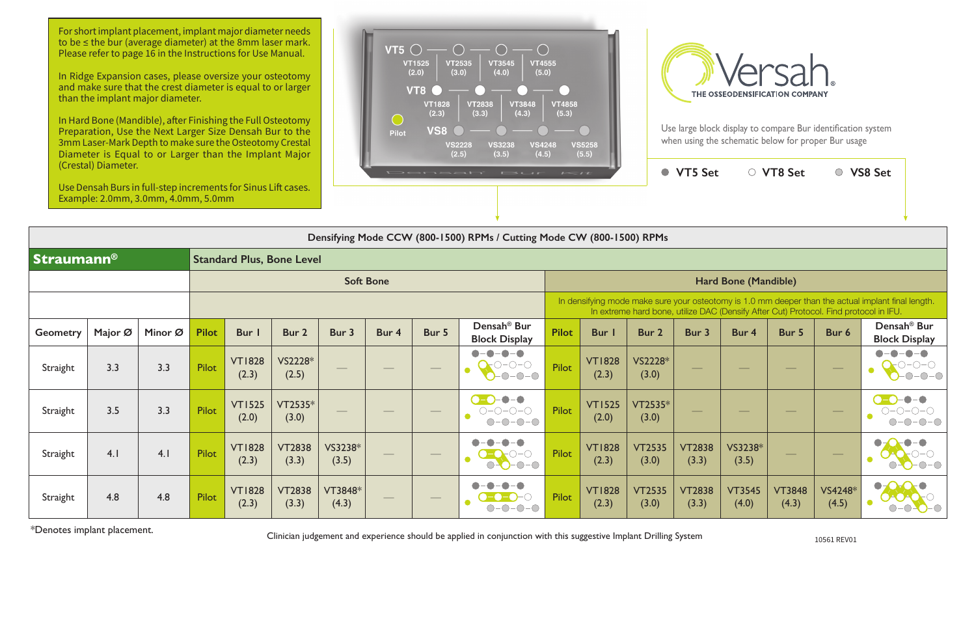**VT5 Set VT8 Set VS8 Set**

|                   | Use Densah Burs in full-step increments for Sinus Lift cases.<br>Example: 2.0mm, 3.0mm, 4.0mm, 5.0mm |         |              |                        |                                  |                   |                  |                   |                                                                        |              |                        |                                                                                       |                          |                                |                                |                   |                                                                                                    |
|-------------------|------------------------------------------------------------------------------------------------------|---------|--------------|------------------------|----------------------------------|-------------------|------------------|-------------------|------------------------------------------------------------------------|--------------|------------------------|---------------------------------------------------------------------------------------|--------------------------|--------------------------------|--------------------------------|-------------------|----------------------------------------------------------------------------------------------------|
|                   |                                                                                                      |         |              |                        |                                  |                   |                  |                   | Densifying Mode CCW (800-1500) RPMs / Cutting Mode CW (800-1500) RPMs  |              |                        |                                                                                       |                          |                                |                                |                   |                                                                                                    |
| <b>Straumann®</b> |                                                                                                      |         |              |                        | <b>Standard Plus, Bone Level</b> |                   |                  |                   |                                                                        |              |                        |                                                                                       |                          |                                |                                |                   |                                                                                                    |
|                   |                                                                                                      |         |              |                        |                                  |                   | <b>Soft Bone</b> |                   |                                                                        |              |                        |                                                                                       |                          | Hard Bone (Mandible)           |                                |                   |                                                                                                    |
|                   |                                                                                                      |         |              |                        |                                  |                   |                  |                   |                                                                        |              |                        | In extreme hard bone, utilize DAC (Densify After Cut) Protocol. Find protocol in IFU. |                          |                                |                                |                   | In densifying mode make sure your osteotomy is 1.0 mm deeper than the actual implant final length. |
| <b>Geometry</b>   | Major Ø                                                                                              | Minor Ø | <b>Pilot</b> | Bur I                  | Bur 2                            | Bur 3             | Bur 4            | Bur 5             | Densah <sup>®</sup> Bur<br><b>Block Display</b>                        | <b>Pilot</b> | Bur                    | Bur 2                                                                                 | Bur 3                    | Bur 4                          | Bur 5                          | Bur 6             | Densah <sup>®</sup> Bur<br><b>Block Display</b>                                                    |
| Straight          | 3.3                                                                                                  | 3.3     | Pilot        | <b>VT1828</b><br>(2.3) | VS2228*<br>(2.5)                 | $\hspace{0.05cm}$ | $\frac{1}{2}$    | $\qquad \qquad -$ | $\blacksquare$<br>$-\bullet-\bullet$<br>$O-O-O$<br>$-0-0-0$            | Pilot        | <b>VT1828</b><br>(2.3) | VS2228*<br>(3.0)                                                                      | $\overline{\phantom{a}}$ | $\overbrace{\hspace{25mm}}^{}$ |                                | $\hspace{0.05cm}$ |                                                                                                    |
| Straight          | 3.5                                                                                                  | 3.3     | Pilot        | <b>VT1525</b><br>(2.0) | VT2535*<br>(3.0)                 |                   |                  |                   | $\bullet$ $\bullet$<br>$\bullet$ - $\bullet$<br>$O-O-O-O$<br>$O-O-O-O$ | <b>Pilot</b> | <b>VT1525</b><br>(2.0) | VT2535*<br>(3.0)                                                                      |                          |                                |                                |                   | $-\bullet-\bullet$<br>$O-O-O-O$                                                                    |
| Straight          | 4.1                                                                                                  | 4.1     | Pilot        | <b>VT1828</b><br>(2.3) | <b>VT2838</b><br>(3.3)           | VS3238*<br>(3.5)  |                  |                   | $O-O$<br>$O-O-O-O$                                                     | <b>Pilot</b> | <b>VT1828</b><br>(2.3) | <b>VT2535</b><br>(3.0)                                                                | <b>VT2838</b><br>(3.3)   | VS3238*<br>(3.5)               | $\overbrace{\hspace{25mm}}^{}$ | $\hspace{0.05cm}$ |                                                                                                    |
| Straight          | 4.8                                                                                                  | 4.8     | Pilot        | <b>VT1828</b><br>(2.3) | <b>VT2838</b><br>(3.3)           | VT3848*<br>(4.3)  |                  |                   |                                                                        | <b>Pilot</b> | <b>VT1828</b><br>(2.3) | <b>VT2535</b><br>(3.0)                                                                | <b>VT2838</b><br>(3.3)   | <b>VT3545</b><br>(4.0)         | <b>VT3848</b><br>(4.3)         | VS4248*<br>(4.5)  | $\blacksquare$                                                                                     |

\*Denotes implant placement.

Clinician judgement and experience should be applied in conjunction with this suggestive Implant Drilling System

For short implant placement, implant major diameter needs to be ≤ the bur (average diameter) at the 8mm laser mark. Please refer to page 16 in the Instructions for Use Manual.

In Ridge Expansion cases, please oversize your osteotomy and make sure that the crest diameter is equal to or larger than the implant major diameter.

In Hard Bone (Mandible), after Finishing the Full Osteotomy Preparation, Use the Next Larger Size Densah Bur to the 3mm Laser-Mark Depth to make sure the Osteotomy Crestal Diameter is Equal to or Larger than the Implant Major (Crestal) Diameter.





Use large block display to compare Bur identification system when using the schematic below for proper Bur usage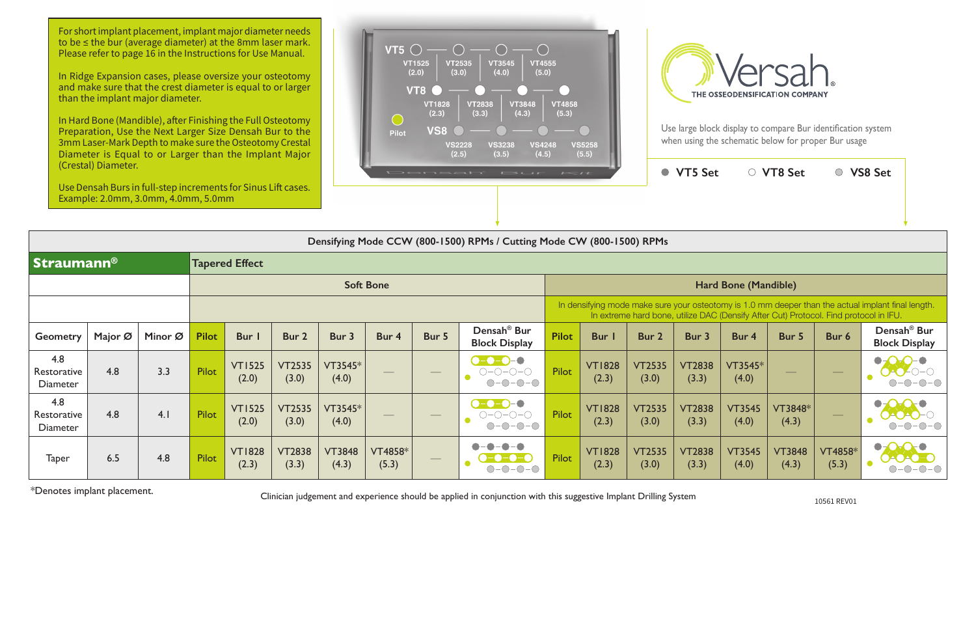|                                       | (Crestal) Diameter.<br>Use Densah Burs in full-step increments for Sinus Lift cases.<br>Example: 2.0mm, 3.0mm, 4.0mm, 5.0mm |         |              |                        |                        |                        |                         |                   | Densah' Bur                                                           | $L = IL$     |                        |                        | ● VT5 Set              |                                                                                       | ○ VT8 Set              |                          | ○ VS8 Set                                                                                          |
|---------------------------------------|-----------------------------------------------------------------------------------------------------------------------------|---------|--------------|------------------------|------------------------|------------------------|-------------------------|-------------------|-----------------------------------------------------------------------|--------------|------------------------|------------------------|------------------------|---------------------------------------------------------------------------------------|------------------------|--------------------------|----------------------------------------------------------------------------------------------------|
|                                       |                                                                                                                             |         |              |                        |                        |                        |                         |                   | Densifying Mode CCW (800-1500) RPMs / Cutting Mode CW (800-1500) RPMs |              |                        |                        |                        |                                                                                       |                        |                          |                                                                                                    |
| <b>Straumann®</b>                     |                                                                                                                             |         |              | <b>Tapered Effect</b>  |                        |                        |                         |                   |                                                                       |              |                        |                        |                        |                                                                                       |                        |                          |                                                                                                    |
|                                       |                                                                                                                             |         |              |                        |                        |                        | <b>Soft Bone</b>        |                   |                                                                       |              |                        |                        |                        | Hard Bone (Mandible)                                                                  |                        |                          |                                                                                                    |
|                                       |                                                                                                                             |         |              |                        |                        |                        |                         |                   |                                                                       |              |                        |                        |                        | In extreme hard bone, utilize DAC (Densify After Cut) Protocol. Find protocol in IFU. |                        |                          | In densifying mode make sure your osteotomy is 1.0 mm deeper than the actual implant final length. |
| <b>Geometry</b>                       | Major Ø                                                                                                                     | Minor Ø | <b>Pilot</b> | Bur I                  | Bur 2                  | Bur 3                  | Bur 4                   | Bur 5             | Densah <sup>®</sup> Bur<br><b>Block Display</b>                       | <b>Pilot</b> | <b>Bur</b> I           | Bur 2                  | Bur 3                  | Bur 4                                                                                 | Bur 5                  | Bur 6                    | Densah <sup>®</sup> Bur<br><b>Block Display</b>                                                    |
| 4.8<br>Restorative<br>Diameter        | 4.8                                                                                                                         | 3.3     | Pilot        | <b>VT1525</b><br>(2.0) | <b>VT2535</b><br>(3.0) | VT3545*<br>(4.0)       |                         |                   | $\bullet$ -0-0-0<br>$O-O-O-O$<br>$O-O-O-O$                            | Pilot        | <b>VT1828</b><br>(2.3) | <b>VT2535</b><br>(3.0) | <b>VT2838</b><br>(3.3) | VT3545*<br>(4.0)                                                                      |                        | $\hspace{0.1cm}$         |                                                                                                    |
| 4.8<br>Restorative<br><b>Diameter</b> | 4.8                                                                                                                         | 4.1     | <b>Pilot</b> | <b>VT1525</b><br>(2.0) | <b>VT2535</b><br>(3.0) | VT3545*<br>(4.0)       |                         | $\hspace{0.05cm}$ | $\bullet$ -0-0-0<br>$O-O-O-O-O$<br>$O-O-O-O$                          | Pilot        | <b>VT1828</b><br>(2.3) | <b>VT2535</b><br>(3.0) | <b>VT2838</b><br>(3.3) | <b>VT3545</b><br>(4.0)                                                                | VT3848*<br>(4.3)       | $\overline{\phantom{a}}$ |                                                                                                    |
| <b>Taper</b>                          | 6.5                                                                                                                         | 4.8     | Pilot        | <b>VT1828</b><br>(2.3) | <b>VT2838</b><br>(3.3) | <b>VT3848</b><br>(4.3) | <b>VT4858*</b><br>(5.3) |                   | $O-O-O-O$                                                             | Pilot        | <b>VT1828</b><br>(2.3) | <b>VT2535</b><br>(3.0) | <b>VT2838</b><br>(3.3) | <b>VT3545</b><br>(4.0)                                                                | <b>VT3848</b><br>(4.3) | VT4858*<br>(5.3)         |                                                                                                    |

\*Denotes implant placement.

10561 REV01

Clinician judgement and experience should be applied in conjunction with this suggestive Implant Drilling System

For short implant placement, implant major diameter needs to be ≤ the bur (average diameter) at the 8mm laser mark. Please refer to page 16 in the Instructions for Use Manual.

In Ridge Expansion cases, please oversize your osteotomy and make sure that the crest diameter is equal to or larger than the implant major diameter.

In Hard Bone (Mandible), after Finishing the Full Osteotomy Preparation, Use the Next Larger Size Densah Bur to the 3mm Laser-Mark Depth to make sure the Osteotomy Crestal Diameter is Equal to or Larger than the Implant Major (Crestal) Diameter.





Use large block display to compare Bur identification system when using the schematic below for proper Bur usage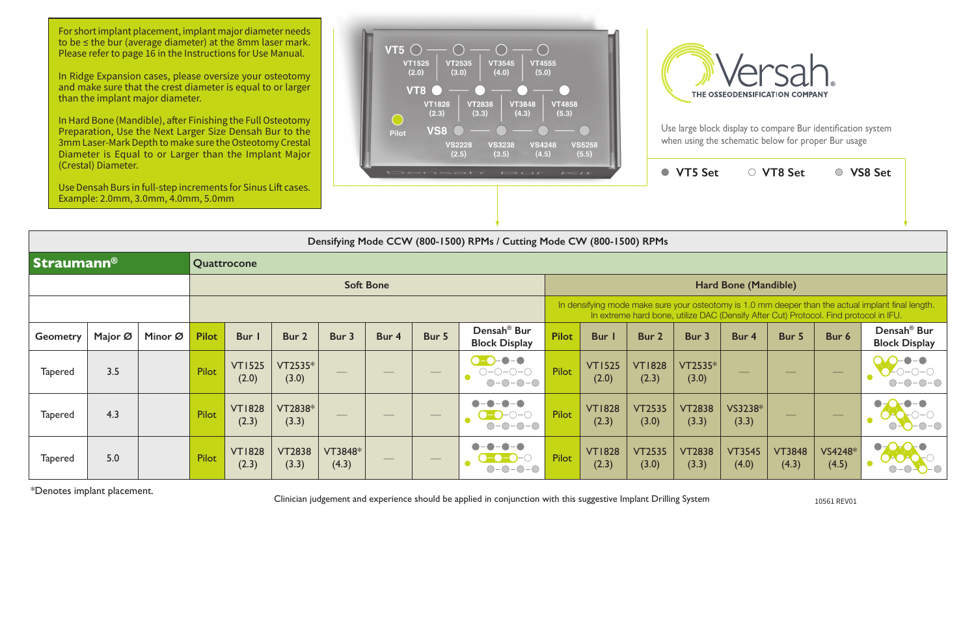In Hard Bone (Mandible), after Finishing the Full Osteotomy Preparation, Use the Next Larger Size Densah Bur to the 3mm Laser-Mark Depth to make sure the Osteotomy Crestal Diameter is Equal to or Larger than the Implant Major





|                   | (Crestal) Diameter.<br>Use Densah Burs in full-step increments for Sinus Lift cases.<br>Example: 2.0mm, 3.0mm, 4.0mm, 5.0mm |         |              |                                                                                                                                                                                             |                        |                  |                  |                   | Densah' Bur Kit                                                                                      |              |                        |                        | ● VT5 Set              |                        | ○ VT8 Set              |                  | ○ VS8 Set                                       |
|-------------------|-----------------------------------------------------------------------------------------------------------------------------|---------|--------------|---------------------------------------------------------------------------------------------------------------------------------------------------------------------------------------------|------------------------|------------------|------------------|-------------------|------------------------------------------------------------------------------------------------------|--------------|------------------------|------------------------|------------------------|------------------------|------------------------|------------------|-------------------------------------------------|
|                   |                                                                                                                             |         |              |                                                                                                                                                                                             |                        |                  |                  |                   | Densifying Mode CCW (800-1500) RPMs / Cutting Mode CW (800-1500) RPMs                                |              |                        |                        |                        |                        |                        |                  |                                                 |
| <b>Straumann®</b> |                                                                                                                             |         |              | Quattrocone                                                                                                                                                                                 |                        |                  |                  |                   |                                                                                                      |              |                        |                        |                        |                        |                        |                  |                                                 |
|                   |                                                                                                                             |         |              |                                                                                                                                                                                             |                        |                  | <b>Soft Bone</b> |                   |                                                                                                      |              |                        |                        |                        | Hard Bone (Mandible)   |                        |                  |                                                 |
|                   |                                                                                                                             |         |              | In densifying mode make sure your osteotomy is 1.0 mm deeper than the actual implant final length.<br>In extreme hard bone, utilize DAC (Densify After Cut) Protocol. Find protocol in IFU. |                        |                  |                  |                   |                                                                                                      |              |                        |                        |                        |                        |                        |                  |                                                 |
| <b>Geometry</b>   | Major Ø                                                                                                                     | Minor Ø | <b>Pilot</b> | Bur I                                                                                                                                                                                       | Bur 2                  | Bur 3            | Bur 4            | Bur 5             | Densah <sup>®</sup> Bur<br><b>Block Display</b>                                                      | <b>Pilot</b> | Bur                    | Bur 2                  | Bur 3                  | Bur 4                  | Bur 5                  | Bur 6            | Densah <sup>®</sup> Bur<br><b>Block Display</b> |
| <b>Tapered</b>    | 3.5                                                                                                                         |         | Pilot        | <b>VT1525</b><br>(2.0)                                                                                                                                                                      | VT2535*<br>(3.0)       |                  |                  |                   | $\bullet$ $\bullet$<br>$\bullet$ - $\bullet$<br>$O-O-O-O$<br>$-0$ - $0$ - $\bigcirc$<br>$\bigcirc$ - | <b>Pilot</b> | <b>VT1525</b><br>(2.0) | <b>VT1828</b><br>(2.3) | VT2535*<br>(3.0)       |                        |                        |                  |                                                 |
| <b>Tapered</b>    | 4.3                                                                                                                         |         | Pilot        | <b>VT1828</b><br>(2.3)                                                                                                                                                                      | VT2838*<br>(3.3)       |                  |                  | $\hspace{0.05cm}$ | $ \bigcirc$ $ \bigcirc$<br>$\bigcirc$                                                                | Pilot        | <b>VT1828</b><br>(2.3) | <b>VT2535</b><br>(3.0) | <b>VT2838</b><br>(3.3) | VS3238*<br>(3.3)       | $\hspace{0.05cm}$      |                  |                                                 |
| <b>Tapered</b>    | 5.0                                                                                                                         |         | Pilot        | <b>VT1828</b><br>(2.3)                                                                                                                                                                      | <b>VT2838</b><br>(3.3) | VT3848*<br>(4.3) |                  |                   | -0-0                                                                                                 | Pilot        | <b>VT1828</b><br>(2.3) | <b>VT2535</b><br>(3.0) | <b>VT2838</b><br>(3.3) | <b>VT3545</b><br>(4.0) | <b>VT3848</b><br>(4.3) | VS4248*<br>(4.5) | $\bullet$                                       |

\*Denotes implant placement. Clinician judgement and experience should be applied in conjunction with this suggestive Implant Drilling System 10561 REV01

For short implant placement, implant major diameter needs to be ≤ the bur (average diameter) at the 8mm laser mark. Please refer to page 16 in the Instructions for Use Manual.

In Ridge Expansion cases, please oversize your osteotomy and make sure that the crest diameter is equal to or larger than the implant major diameter.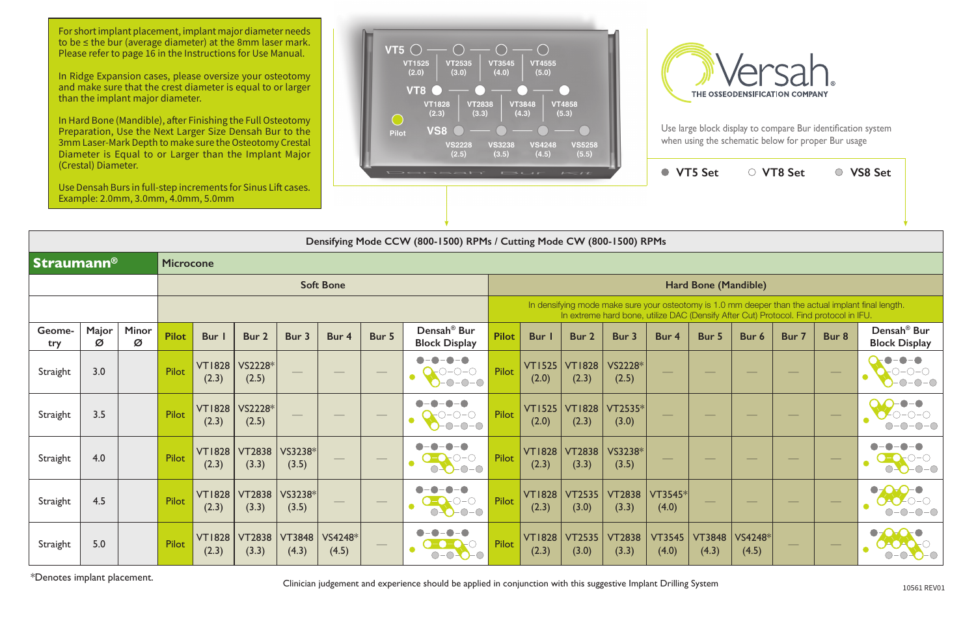|                   |                        |                                                                                       |                        | VT5 Set                     |                  | ○ VT8 Set |       | <b>VS8 Set</b>                                                                                     |  |
|-------------------|------------------------|---------------------------------------------------------------------------------------|------------------------|-----------------------------|------------------|-----------|-------|----------------------------------------------------------------------------------------------------|--|
|                   |                        |                                                                                       |                        |                             |                  |           |       |                                                                                                    |  |
|                   |                        | g Mode CW (800-1500) RPMs                                                             |                        |                             |                  |           |       |                                                                                                    |  |
|                   |                        |                                                                                       |                        |                             |                  |           |       |                                                                                                    |  |
|                   |                        |                                                                                       |                        | <b>Hard Bone (Mandible)</b> |                  |           |       |                                                                                                    |  |
|                   |                        | In extreme hard bone, utilize DAC (Densify After Cut) Protocol. Find protocol in IFU. |                        |                             |                  |           |       | In densifying mode make sure your osteotomy is 1.0 mm deeper than the actual implant final length. |  |
| <b>Bur</b> I      | Bur <sub>2</sub>       | Bur 3                                                                                 | Bur 4                  | Bur 5                       | Bur 6            | Bur 7     | Bur 8 | Densah <sup>®</sup> Bur<br><b>Block Display</b>                                                    |  |
| $TI$ 525<br>(2.0) | <b>VT1828</b><br>(2.3) | VS2228*<br>(2.5)                                                                      |                        |                             |                  |           |       |                                                                                                    |  |
| $TI$ 525<br>(2.0) | <b>VT1828</b><br>(2.3) | VT2535*<br>(3.0)                                                                      |                        |                             |                  |           |       |                                                                                                    |  |
| T1828<br>(2.3)    | <b>VT2838</b><br>(3.3) | VS3238*<br>(3.5)                                                                      |                        |                             |                  |           |       |                                                                                                    |  |
| T1828<br>(2.3)    | <b>VT2535</b><br>(3.0) | <b>VT2838</b><br>(3.3)                                                                | VT3545*<br>(4.0)       |                             |                  |           |       |                                                                                                    |  |
| T1828<br>(2.3)    | <b>VT2535</b><br>(3.0) | <b>VT2838</b><br>(3.3)                                                                | <b>VT3545</b><br>(4.0) | <b>VT3848</b><br>(4.3)      | VS4248*<br>(4.5) |           |       |                                                                                                    |  |

|                   |            |                   |                  |                        |                        |                                 |                  |       | Densifying Mode CCW (800-1500) RPMs / Cutting Mode CW (800-1500) RPMs |              |                        |                        |                                                                                       |                          |                          |                  |       |                   |                                                                                                    |
|-------------------|------------|-------------------|------------------|------------------------|------------------------|---------------------------------|------------------|-------|-----------------------------------------------------------------------|--------------|------------------------|------------------------|---------------------------------------------------------------------------------------|--------------------------|--------------------------|------------------|-------|-------------------|----------------------------------------------------------------------------------------------------|
| <b>Straumann®</b> |            |                   | <b>Microcone</b> |                        |                        |                                 |                  |       |                                                                       |              |                        |                        |                                                                                       |                          |                          |                  |       |                   |                                                                                                    |
|                   |            |                   |                  |                        |                        |                                 | <b>Soft Bone</b> |       |                                                                       |              |                        |                        |                                                                                       |                          | Hard Bone (Mandible)     |                  |       |                   |                                                                                                    |
|                   |            |                   |                  |                        |                        |                                 |                  |       |                                                                       |              |                        |                        | In extreme hard bone, utilize DAC (Densify After Cut) Protocol. Find protocol in IFU. |                          |                          |                  |       |                   | In densifying mode make sure your osteotomy is 1.0 mm deeper than the actual implant final length. |
| Geome-<br>try     | Major<br>Ø | <b>Minor</b><br>Ø | <b>Pilot</b>     | <b>Bur</b>             | Bur 2                  | Bur 3                           | Bur 4            | Bur 5 | Densah <sup>®</sup> Bur<br><b>Block Display</b>                       | <b>Pilot</b> | Bur                    | Bur 2                  | Bur 3                                                                                 | Bur 4                    | Bur 5                    | Bur 6            | Bur 7 | Bur 8             | Densah <sup>®</sup> Bur<br><b>Block Display</b>                                                    |
| Straight          | 3.0        |                   | <b>Pilot</b>     | <b>VT1828</b><br>(2.3) | VS2228*<br>(2.5)       |                                 |                  |       | $\sum_{i=1}^{n} C_i - C_i - C_i$<br>O<br>$-0$ - $  -$                 | Pilot        | VT1525<br>(2.0)        | <b>VT1828</b><br>(2.3) | VS2228*<br>(2.5)                                                                      |                          | $\overline{\phantom{m}}$ | $\frac{1}{2}$    |       |                   |                                                                                                    |
| Straight          | 3.5        |                   | Pilot            | <b>VT1828</b><br>(2.3) | VS2228*<br>(2.5)       | $\overbrace{\qquad \qquad }^{}$ | $\frac{1}{2}$    |       | $7 - 0 - 0 - 0$                                                       | Pilot        | VT1525<br>(2.0)        | <b>VT1828</b><br>(2.3) | VT2535*<br>(3.0)                                                                      | $\overline{\phantom{a}}$ | $\hspace{0.1cm} -$       | $\frac{1}{2}$    |       | $\hspace{0.05cm}$ |                                                                                                    |
| Straight          | 4.0        |                   | <b>Pilot</b>     | <b>VT1828</b><br>(2.3) | <b>VT2838</b><br>(3.3) | VS3238*<br>(3.5)                |                  |       | $O-O-O-O$                                                             | Pilot        | <b>VT1828</b><br>(2.3) | <b>VT2838</b><br>(3.3) | VS3238*<br>(3.5)                                                                      |                          |                          |                  |       |                   |                                                                                                    |
| Straight          | 4.5        |                   | Pilot            | <b>VT1828</b><br>(2.3) | <b>VT2838</b><br>(3.3) | VS3238*<br>(3.5)                |                  |       | $O-O-O-O$                                                             | Pilot        | <b>VT1828</b><br>(2.3) | <b>VT2535</b><br>(3.0) | <b>VT2838</b><br>(3.3)                                                                | $VT3545*$<br>(4.0)       |                          |                  |       |                   |                                                                                                    |
| Straight          | 5.0        |                   | <b>Pilot</b>     | <b>VT1828</b><br>(2.3) | <b>VT2838</b><br>(3.3) | <b>VT3848</b><br>(4.3)          | VS4248*<br>(4.5) |       | $\bigcirc$ -                                                          | Pilot        | <b>VT1828</b><br>(2.3) | <b>VT2535</b><br>(3.0) | <b>VT2838</b><br>(3.3)                                                                | <b>VT3545</b><br>(4.0)   | <b>VT3848</b><br>(4.3)   | VS4248*<br>(4.5) |       |                   |                                                                                                    |

\*Denotes implant placement.

Clinician judgement and experience should be applied in conjunction with this suggestive Implant Drilling System

For short implant placement, implant major diameter needs to be ≤ the bur (average diameter) at the 8mm laser mark. Please refer to page 16 in the Instructions for Use Manual.

In Ridge Expansion cases, please oversize your osteotomy and make sure that the crest diameter is equal to or larger than the implant major diameter.

In Hard Bone (Mandible), after Finishing the Full Osteotomy Preparation, Use the Next Larger Size Densah Bur to the 3mm Laser-Mark Depth to make sure the Osteotomy Crestal Diameter is Equal to or Larger than the Implant Major (Crestal) Diameter.

Use Densah Burs in full-step increments for Sinus Lift cases. Example: 2.0mm, 3.0mm, 4.0mm, 5.0mm





Use large block display to compare Bur identification system when using the schematic below for proper Bur usage